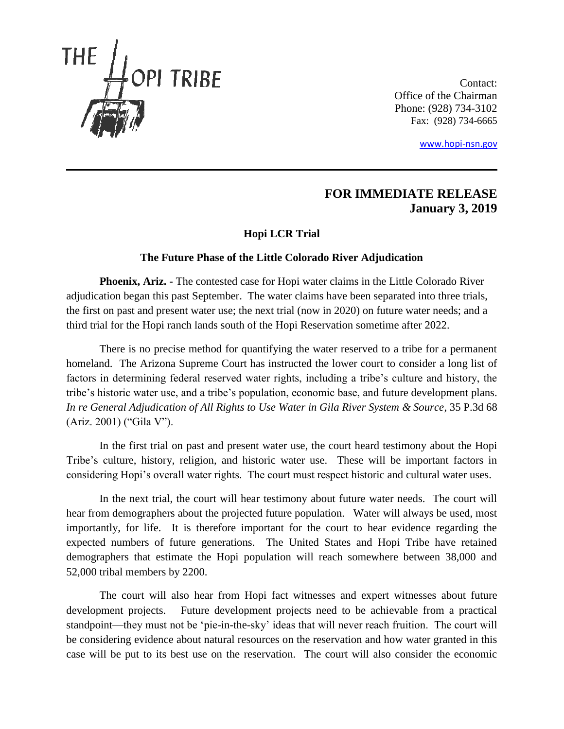

Contact: Office of the Chairman Phone: (928) 734-3102 Fax: (928) 734-6665

[www.hopi-nsn.gov](http://www.hopi-nsn.gov/)

## **FOR IMMEDIATE RELEASE January 3, 2019**

## **Hopi LCR Trial**

## **The Future Phase of the Little Colorado River Adjudication**

**Phoenix, Ariz. -** The contested case for Hopi water claims in the Little Colorado River adjudication began this past September. The water claims have been separated into three trials, the first on past and present water use; the next trial (now in 2020) on future water needs; and a third trial for the Hopi ranch lands south of the Hopi Reservation sometime after 2022.

There is no precise method for quantifying the water reserved to a tribe for a permanent homeland. The Arizona Supreme Court has instructed the lower court to consider a long list of factors in determining federal reserved water rights, including a tribe's culture and history, the tribe's historic water use, and a tribe's population, economic base, and future development plans. *In re General Adjudication of All Rights to Use Water in Gila River System & Source*, 35 P.3d 68 (Ariz. 2001) ("Gila V").

In the first trial on past and present water use, the court heard testimony about the Hopi Tribe's culture, history, religion, and historic water use. These will be important factors in considering Hopi's overall water rights. The court must respect historic and cultural water uses.

In the next trial, the court will hear testimony about future water needs. The court will hear from demographers about the projected future population. Water will always be used, most importantly, for life. It is therefore important for the court to hear evidence regarding the expected numbers of future generations. The United States and Hopi Tribe have retained demographers that estimate the Hopi population will reach somewhere between 38,000 and 52,000 tribal members by 2200.

The court will also hear from Hopi fact witnesses and expert witnesses about future development projects. Future development projects need to be achievable from a practical standpoint—they must not be 'pie-in-the-sky' ideas that will never reach fruition. The court will be considering evidence about natural resources on the reservation and how water granted in this case will be put to its best use on the reservation. The court will also consider the economic